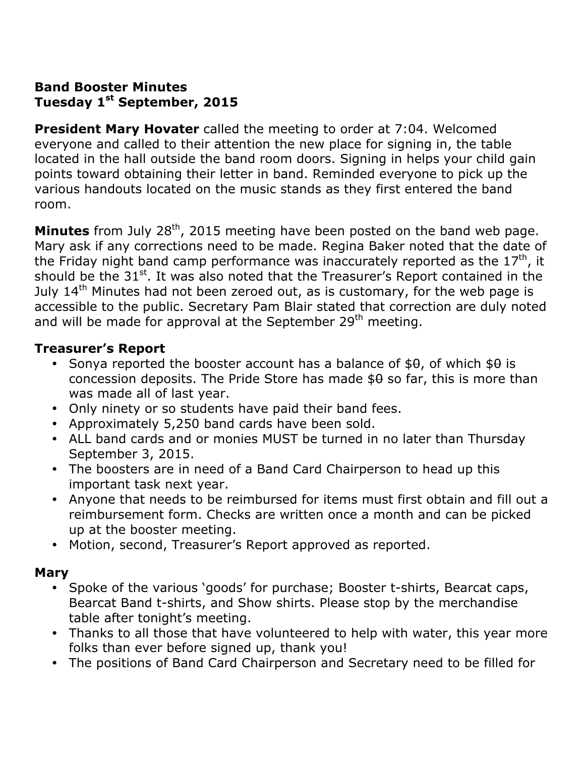### **Band Booster Minutes Tuesday 1st September, 2015**

**President Mary Hovater** called the meeting to order at 7:04. Welcomed everyone and called to their attention the new place for signing in, the table located in the hall outside the band room doors. Signing in helps your child gain points toward obtaining their letter in band. Reminded everyone to pick up the various handouts located on the music stands as they first entered the band room.

Minutes from July 28<sup>th</sup>, 2015 meeting have been posted on the band web page. Mary ask if any corrections need to be made. Regina Baker noted that the date of the Friday night band camp performance was inaccurately reported as the  $17<sup>th</sup>$ , it should be the  $31<sup>st</sup>$ . It was also noted that the Treasurer's Report contained in the July  $14<sup>th</sup>$  Minutes had not been zeroed out, as is customary, for the web page is accessible to the public. Secretary Pam Blair stated that correction are duly noted and will be made for approval at the September  $29<sup>th</sup>$  meeting.

### **Treasurer's Report**

- Sonya reported the booster account has a balance of  $$0, 6$  which  $$0 is$ concession deposits. The Pride Store has made  $$9$  so far, this is more than was made all of last year.
- Only ninety or so students have paid their band fees.
- ! Approximately 5,250 band cards have been sold.
- ALL band cards and or monies MUST be turned in no later than Thursday September 3, 2015.
- The boosters are in need of a Band Card Chairperson to head up this important task next year.
- ! Anyone that needs to be reimbursed for items must first obtain and fill out a reimbursement form. Checks are written once a month and can be picked up at the booster meeting.
- ! Motion, second, Treasurer's Report approved as reported.

# **Mary**

- ! Spoke of the various 'goods' for purchase; Booster t-shirts, Bearcat caps, Bearcat Band t-shirts, and Show shirts. Please stop by the merchandise table after tonight's meeting.
- Thanks to all those that have volunteered to help with water, this year more folks than ever before signed up, thank you!
- ! The positions of Band Card Chairperson and Secretary need to be filled for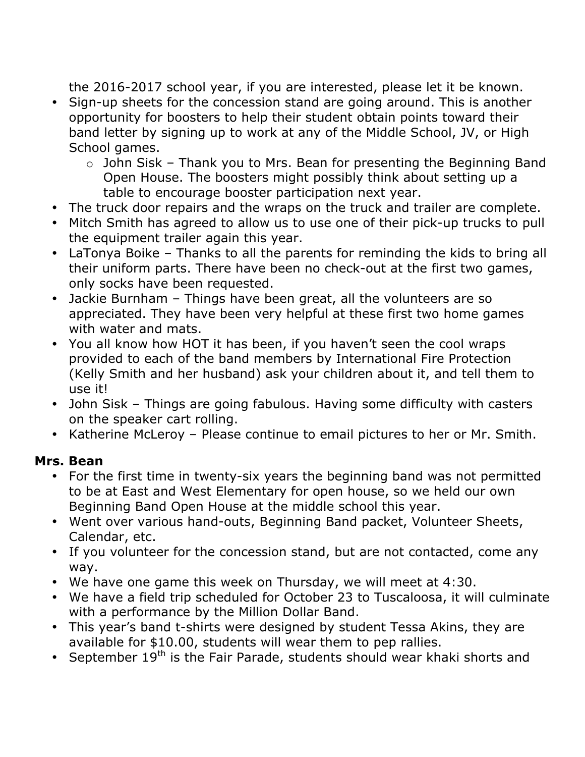the 2016-2017 school year, if you are interested, please let it be known.

- ! Sign-up sheets for the concession stand are going around. This is another opportunity for boosters to help their student obtain points toward their band letter by signing up to work at any of the Middle School, JV, or High School games.
	- $\circ$  John Sisk Thank you to Mrs. Bean for presenting the Beginning Band Open House. The boosters might possibly think about setting up a table to encourage booster participation next year.
- The truck door repairs and the wraps on the truck and trailer are complete.
- Mitch Smith has agreed to allow us to use one of their pick-up trucks to pull the equipment trailer again this year.
- LaTonya Boike Thanks to all the parents for reminding the kids to bring all their uniform parts. There have been no check-out at the first two games, only socks have been requested.
- Jackie Burnham Things have been great, all the volunteers are so appreciated. They have been very helpful at these first two home games with water and mats.
- ! You all know how HOT it has been, if you haven't seen the cool wraps provided to each of the band members by International Fire Protection (Kelly Smith and her husband) ask your children about it, and tell them to use it!
- John Sisk Things are going fabulous. Having some difficulty with casters on the speaker cart rolling.
- ! Katherine McLeroy Please continue to email pictures to her or Mr. Smith.

### **Mrs. Bean**

- For the first time in twenty-six years the beginning band was not permitted to be at East and West Elementary for open house, so we held our own Beginning Band Open House at the middle school this year.
- Went over various hand-outs, Beginning Band packet, Volunteer Sheets, Calendar, etc.
- If you volunteer for the concession stand, but are not contacted, come any way.
- We have one game this week on Thursday, we will meet at 4:30.
- We have a field trip scheduled for October 23 to Tuscaloosa, it will culminate with a performance by the Million Dollar Band.
- This year's band t-shirts were designed by student Tessa Akins, they are available for \$10.00, students will wear them to pep rallies.
- September  $19<sup>th</sup>$  is the Fair Parade, students should wear khaki shorts and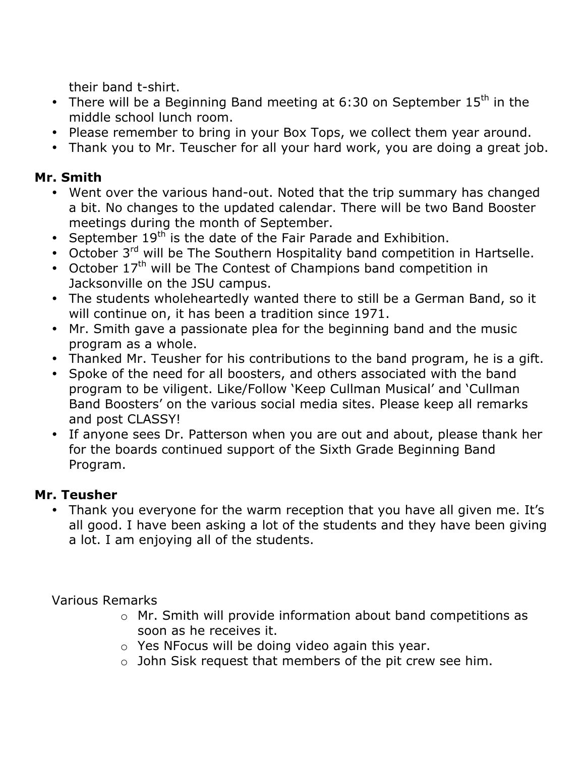their band t-shirt.

- There will be a Beginning Band meeting at 6:30 on September  $15<sup>th</sup>$  in the middle school lunch room.
- Please remember to bring in your Box Tops, we collect them year around.
- Thank you to Mr. Teuscher for all your hard work, you are doing a great job.

## **Mr. Smith**

- ! Went over the various hand-out. Noted that the trip summary has changed a bit. No changes to the updated calendar. There will be two Band Booster meetings during the month of September.
- September  $19<sup>th</sup>$  is the date of the Fair Parade and Exhibition.
- $\cdot$  October 3<sup>rd</sup> will be The Southern Hospitality band competition in Hartselle.
- October  $17<sup>th</sup>$  will be The Contest of Champions band competition in Jacksonville on the JSU campus.
- The students wholeheartedly wanted there to still be a German Band, so it will continue on, it has been a tradition since 1971.
- ! Mr. Smith gave a passionate plea for the beginning band and the music program as a whole.
- Thanked Mr. Teusher for his contributions to the band program, he is a gift.
- ! Spoke of the need for all boosters, and others associated with the band program to be viligent. Like/Follow 'Keep Cullman Musical' and 'Cullman Band Boosters' on the various social media sites. Please keep all remarks and post CLASSY!
- ! If anyone sees Dr. Patterson when you are out and about, please thank her for the boards continued support of the Sixth Grade Beginning Band Program.

### **Mr. Teusher**

• Thank you everyone for the warm reception that you have all given me. It's all good. I have been asking a lot of the students and they have been giving a lot. I am enjoying all of the students.

Various Remarks

- o Mr. Smith will provide information about band competitions as soon as he receives it.
- o Yes NFocus will be doing video again this year.
- o John Sisk request that members of the pit crew see him.